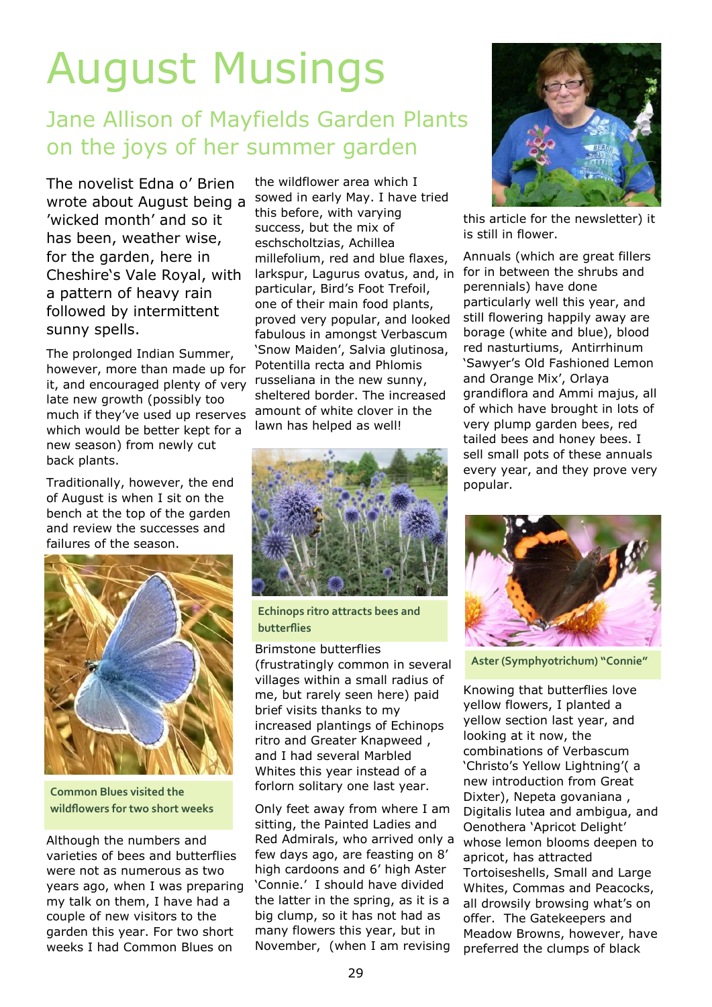## August Musings

## Jane Allison of Mayfields Garden Plants on the joys of her summer garden

The novelist Edna o' Brien wrote about August being a 'wicked month' and so it has been, weather wise, for the garden, here in Cheshire's Vale Royal, with a pattern of heavy rain followed by intermittent sunny spells.

The prolonged Indian Summer, however, more than made up for it, and encouraged plenty of very late new growth (possibly too much if they've used up reserves which would be better kept for a new season) from newly cut back plants.

Traditionally, however, the end of August is when I sit on the bench at the top of the garden and review the successes and failures of the season.



**Common Blues visited the wildflowers for two short weeks**

Although the numbers and varieties of bees and butterflies were not as numerous as two years ago, when I was preparing my talk on them, I have had a couple of new visitors to the garden this year. For two short weeks I had Common Blues on

the wildflower area which I sowed in early May. I have tried this before, with varying success, but the mix of eschscholtzias, Achillea millefolium, red and blue flaxes, larkspur, Lagurus ovatus, and, in particular, Bird's Foot Trefoil, one of their main food plants, proved very popular, and looked fabulous in amongst Verbascum 'Snow Maiden', Salvia glutinosa, Potentilla recta and Phlomis russeliana in the new sunny, sheltered border. The increased amount of white clover in the lawn has helped as well!



**Echinops ritro attracts bees and butterflies**

Brimstone butterflies (frustratingly common in several villages within a small radius of me, but rarely seen here) paid brief visits thanks to my increased plantings of Echinops ritro and Greater Knapweed , and I had several Marbled Whites this year instead of a forlorn solitary one last year.

Only feet away from where I am sitting, the Painted Ladies and Red Admirals, who arrived only a few days ago, are feasting on 8' high cardoons and 6' high Aster 'Connie.' I should have divided the latter in the spring, as it is a big clump, so it has not had as many flowers this year, but in November, (when I am revising



this article for the newsletter) it is still in flower.

Annuals (which are great fillers for in between the shrubs and perennials) have done particularly well this year, and still flowering happily away are borage (white and blue), blood red nasturtiums, Antirrhinum 'Sawyer's Old Fashioned Lemon and Orange Mix', Orlaya grandiflora and Ammi majus, all of which have brought in lots of very plump garden bees, red tailed bees and honey bees. I sell small pots of these annuals every year, and they prove very popular.



**Aster (Symphyotrichum) "Connie"**

Knowing that butterflies love yellow flowers, I planted a yellow section last year, and looking at it now, the combinations of Verbascum 'Christo's Yellow Lightning'( a new introduction from Great Dixter), Nepeta govaniana , Digitalis lutea and ambigua, and Oenothera 'Apricot Delight' whose lemon blooms deepen to apricot, has attracted Tortoiseshells, Small and Large Whites, Commas and Peacocks, all drowsily browsing what's on offer. The Gatekeepers and Meadow Browns, however, have preferred the clumps of black